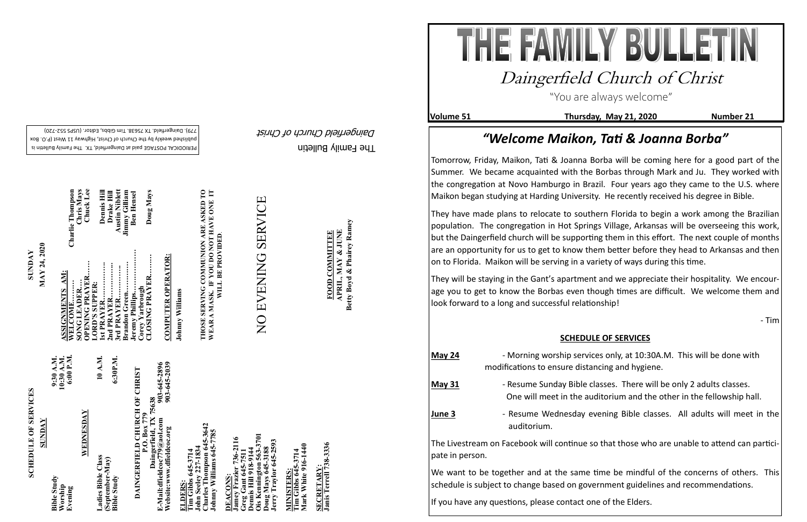The Family Bulletin Daingerfield Church of Christ

# **SCHEDULE OF SERVICES SCHEDULE OF SERVICES**

PERIODICAL POSTAGE paid at Daingerfield, TX. The Family Bulletin is published weekly by the Church of Christ, Highway 11 West (P.O. Box 720) - 779). Daingerfield. TX 75638. Tim Gibbs, Editor. (USPS 552

> 903-645-2896<br>903-645-2039 **Website:www.dfieldcoc.org 903-645-2039 E-Mail:dfieldcoc779@aol.com 903-645-2896 DAINGERFIELD CHURCH OF CHRIST**<br> **P.O. Box 779**<br> **Daingerfield, TX 75638**<br> **E-Mail:dfieldcec779@aol.com**<br> **Website:www.dfieldcoc.org**<br> **903-645-289 DAINGERFIELD CHURCH OF CHRIST Daingerfield, TX 75638**

**Charles Thompson 645-3642 Johnny Williams 645-7785**  s Thompson 645-<br>Williams 645-77 **John Seeley 227-1834**   $\mathbf{e}$ ohn Seek<br>Charles T<br>Johnny W

| WEDNESDAY<br><b>SUNDAY</b><br>Ladies Bible Class<br>(September-May)<br><b>Bible Study</b><br><b>Bible Study</b><br>Worship<br>Evening |
|---------------------------------------------------------------------------------------------------------------------------------------|
|---------------------------------------------------------------------------------------------------------------------------------------|

**Ois Kennington 563-3701 Jamey Frazier 736-2116**  736-2116 **Jerry Traylor 645-2593 Greg Gant 645-7511 Dennis Hill 918-9144 Doug Mays 645-3188** oug Mays 645-31<br>erry Traylor 645nnis Hill 918-91 Kennington **DEACONS: DEACONS** 

**Tim Gibbs 645-3714**<br>Mark White 916-1440 **Mark White 916-1440 Tim Gibbs 645-3714 MINISTERS: INISTERS** 

SECRETARY:<br>Janis Terrell 738-3336 **SECRETARY:**

**SUNDAY**<br>MAY 24, 2020 **MAY 24, 2020**

**ELDERS: Tim Gibbs 645-3714** 

**COMPUTER OPERATOR: COMPUTER OPERATOR:**

Johnny Williams **Johnny Williams**

**THOSE SERVING COMMUNION ARE ASKED TO**  SERVING COMMUNION ARE ASKED TO A MASK. IF YOU DO NOT HAVE ONE IT WILL BE PROVIDED. **WEAR A MASK. IF YOU DO NOT HAVE ONE IT WILL BE PROVIDED**. THOSE S<br>WEAR A

# NO EVENING SERVICE NO EVENING SERVICE

**COMMITTEE APRIL, MAY & JUNE FOOD COMMITTEE** FOOD

APRIL, MAY & JUNE<br>Betty Boyd & Phairey Ramey **Betty Boyd & Phairey Ramey**

**Janis Terrell 738-3336**

| <b>Charlie Thompson</b>    | Chuck Lee<br>Chris Mays       | <b>Dennis Hill</b>           | <b>Austin Niblett</b><br>Drake Hill | <b>Jimmy Gilliam</b> | <b>Ben Hensel</b> | Doug Mays                         |
|----------------------------|-------------------------------|------------------------------|-------------------------------------|----------------------|-------------------|-----------------------------------|
| ASSIGNMENTS AM:<br>WELCOME | OPENING PRAYER<br>SONG LEADER | 1st PRAYER<br>LORD'S SUPPER: | 2nd PRAYER<br>3rd PRAYER            | Brandon Green        | Jeremy Phillips   | CLOSING PRAYER<br>Corey Yarbrough |

- ditorium and the other in the fellowship hall.
- **June 3** Resume Wednesday evening Bible classes. All adults will meet in the

"You are always welcome"

**Volume 51 Thursday, May 21, 2020 Number 21**

## Daingerfield Church of Christ

### *"Welcome Maikon, Tati & Joanna Borba"*

We want to be together and at the same time be mindful of the concerns of others. This schedule is subject to change based on government guidelines and recommendations.

Tomorrow, Friday, Maikon, Tati & Joanna Borba will be coming here for a good part of the Summer. We became acquainted with the Borbas through Mark and Ju. They worked with the congregation at Novo Hamburgo in Brazil. Four years ago they came to the U.S. where Maikon began studying at Harding University. He recently received his degree in Bible.

They have made plans to relocate to southern Florida to begin a work among the Brazilian population. The congregation in Hot Springs Village, Arkansas will be overseeing this work, but the Daingerfield church will be supporting them in this effort. The next couple of months are an opportunity for us to get to know them better before they head to Arkansas and then on to Florida. Maikon will be serving in a variety of ways during this time.

They will be staying in the Gant's apartment and we appreciate their hospitality. We encourage you to get to know the Borbas even though times are difficult. We welcome them and look forward to a long and successful relationship!

- Tim

#### **SCHEDULE OF SERVICES**

| May 24   | - Morning worship services only, at 10:30A.M. This will be done wi<br>modifications to ensure distancing and hygiene.                    |
|----------|------------------------------------------------------------------------------------------------------------------------------------------|
| May $31$ | - Resume Sunday Bible classes. There will be only 2 adults classes.<br>One will meet in the auditorium and the other in the fellowship h |
| June 3   | - Resume Wednesday evening Bible classes. All adults will mee<br>auditorium.                                                             |
|          | The Livestream on Facebook will continue so that those who are unable to attend can                                                      |

The Livestream on Facebook will continue so that those who are unable to attend can partici-

pate in person.

If you have any questions, please contact one of the Elders.